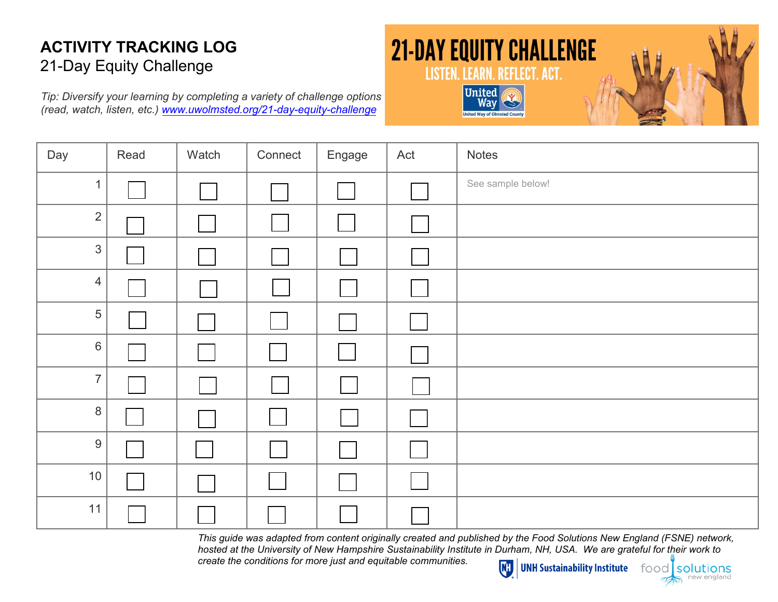*Tip: Diversify your [learning](http://www.uwgive.org/equity) by completing a variety of challenge options (read, watch, listen, etc.) www.uwolmsted.org/21-day-equity-challenge*

# **21-DAY EQUITY CHALLENGE** LISTEN. LEARN. REFLECT. ACT. **United**



| Day            | Read | Watch | Connect | Engage         | Act            | <b>Notes</b>      |
|----------------|------|-------|---------|----------------|----------------|-------------------|
| $\mathbf{1}$   |      |       |         |                |                | See sample below! |
| $\overline{2}$ |      |       |         |                |                |                   |
| $\mathfrak{S}$ |      |       |         |                |                |                   |
| $\overline{4}$ |      |       |         |                |                |                   |
| 5              |      |       |         |                |                |                   |
| $6\,$          |      |       |         |                |                |                   |
| $\overline{7}$ |      |       |         |                |                |                   |
| $\bf 8$        |      |       |         | $\mathbb{R}^n$ |                |                   |
| $9\,$          |      |       |         |                | $\mathbb{R}^n$ |                   |
| 10             |      |       |         |                |                |                   |
| 11             |      |       |         |                |                |                   |

*This guide was adapted from content originally created and published by the Food Solutions New England (FSNE) network, hosted at the University of New Hampshire Sustainability Institute in Durham, NH, USA. We are grateful for their work to create the conditions for more just and equitable communities.*  $\overline{N}$ **UNH Sustainability Institute** food

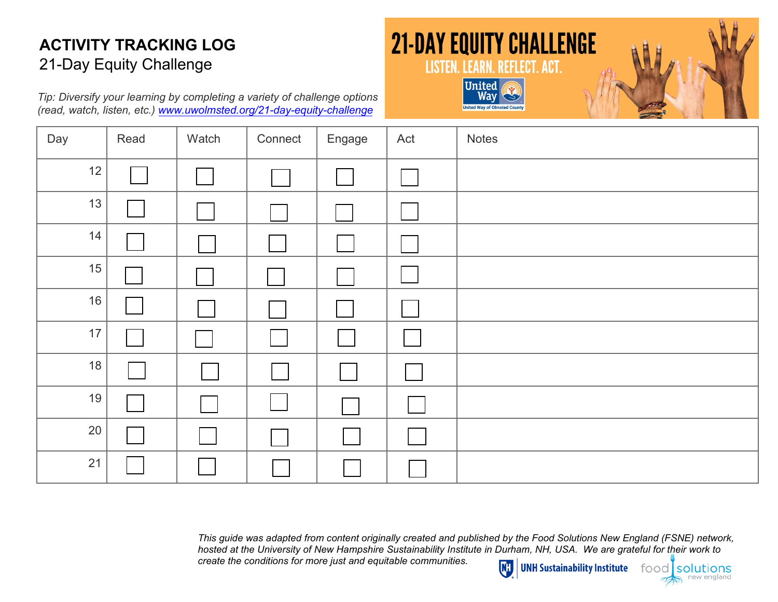*Tip: Diversify your learning by [completin](http://www.uwgive.org/equity)g a variety of challenge options (read, watch, listen, etc.) www.uwolmsted.org/21-day-equity-challenge*





| Day  | Read | Watch | Connect | Engage | Act | Notes |
|------|------|-------|---------|--------|-----|-------|
| 12   |      |       |         |        |     |       |
| 13   |      |       |         |        |     |       |
| 14   |      |       |         |        |     |       |
| 15   |      |       |         |        |     |       |
| 16   |      |       |         |        |     |       |
| $17$ |      |       |         |        |     |       |
| 18   |      |       |         |        |     |       |
| 19   |      |       |         |        |     |       |
| 20   |      |       |         |        |     |       |
| 21   |      |       |         |        |     |       |

*This guide was adapted from content originally created and published by the Food Solutions New England (FSNE) network, hosted at the University of New Hampshire Sustainability Institute in Durham, NH, USA. We are grateful for their work to create the conditions for more just and equitable communities.*  $\overline{w}$ 

UNH Sustainability Institute

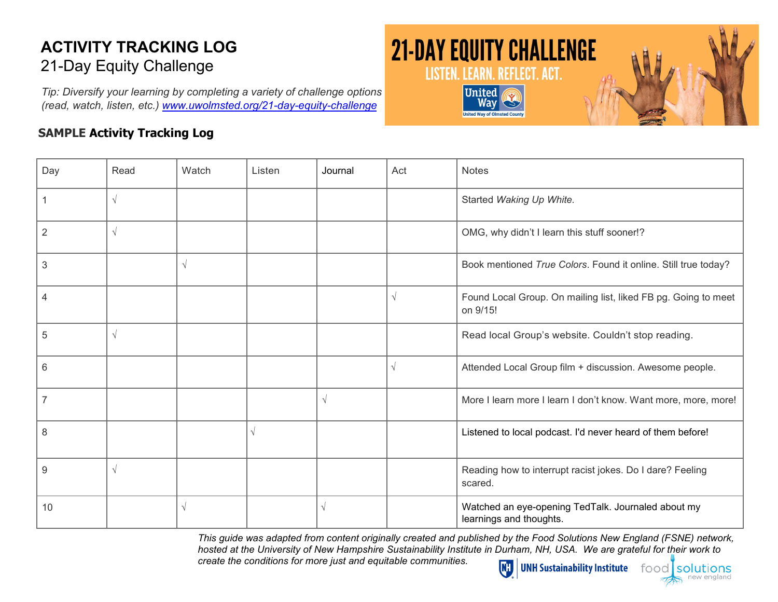*Tip: Diversify your learning by completing a variety of challenge options (read, watch, listen, [etc.\) www.uwolmst](http://www.uwgive.org/equity)ed.org/21-day-equity-challenge*

#### **SAMPLE Activity Tracking Log**



| Day | Read      | Watch      | Listen | Journal    | Act        | <b>Notes</b>                                                                  |
|-----|-----------|------------|--------|------------|------------|-------------------------------------------------------------------------------|
|     | $\sqrt{}$ |            |        |            |            | Started Waking Up White.                                                      |
| 2   | $\sqrt{}$ |            |        |            |            | OMG, why didn't I learn this stuff sooner!?                                   |
| 3   |           | $\sqrt{ }$ |        |            |            | Book mentioned True Colors. Found it online. Still true today?                |
| 4   |           |            |        |            | $\sqrt{ }$ | Found Local Group. On mailing list, liked FB pg. Going to meet<br>on 9/15!    |
| 5   | $\sqrt{}$ |            |        |            |            | Read local Group's website. Couldn't stop reading.                            |
| 6   |           |            |        |            | $\sqrt{ }$ | Attended Local Group film + discussion. Awesome people.                       |
| 7   |           |            |        | $\sqrt{ }$ |            | More I learn more I learn I don't know. Want more, more, more!                |
| 8   |           |            |        |            |            | Listened to local podcast. I'd never heard of them before!                    |
| 9   | $\sqrt{}$ |            |        |            |            | Reading how to interrupt racist jokes. Do I dare? Feeling<br>scared.          |
| 10  |           | $\sqrt{ }$ |        |            |            | Watched an eye-opening TedTalk. Journaled about my<br>learnings and thoughts. |

*This guide was adapted from content originally created and published by the Food Solutions New England (FSNE) network, hosted at the University of New Hampshire Sustainability Institute in Durham, NH, USA. We are grateful for their work to create the conditions for more just and equitable communities.* W